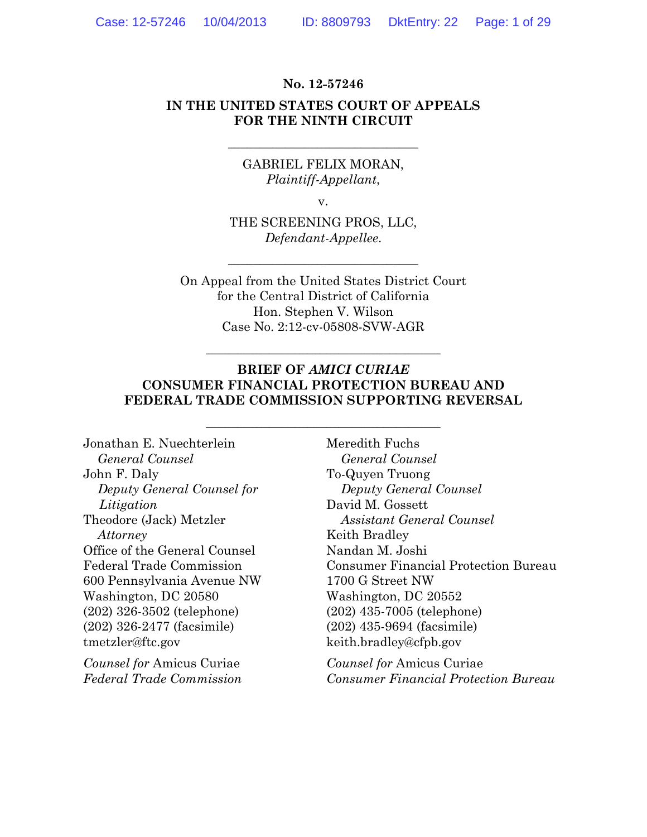#### **No. 12-57246**

#### **IN THE UNITED STATES COURT OF APPEALS FOR THE NINTH CIRCUIT**

\_\_\_\_\_\_\_\_\_\_\_\_\_\_\_\_\_\_\_\_\_\_\_\_\_\_\_\_\_\_

GABRIEL FELIX MORAN, *Plaintiff-Appellant*,

v.

THE SCREENING PROS, LLC, *Defendant-Appellee*.

\_\_\_\_\_\_\_\_\_\_\_\_\_\_\_\_\_\_\_\_\_\_\_\_\_\_\_\_\_\_

On Appeal from the United States District Court for the Central District of California Hon. Stephen V. Wilson Case No. 2:12-cv-05808-SVW-AGR

#### **BRIEF OF** *AMICI CURIAE* **CONSUMER FINANCIAL PROTECTION BUREAU AND FEDERAL TRADE COMMISSION SUPPORTING REVERSAL**

\_\_\_\_\_\_\_\_\_\_\_\_\_\_\_\_\_\_\_\_\_\_\_\_\_\_\_\_\_\_\_\_\_\_\_\_\_

\_\_\_\_\_\_\_\_\_\_\_\_\_\_\_\_\_\_\_\_\_\_\_\_\_\_\_\_\_\_\_\_\_\_\_\_\_

Jonathan E. Nuechterlein *General Counsel*  John F. Daly  *Deputy General Counsel for Litigation*  Theodore (Jack) Metzler *Attorney*  Office of the General Counsel Federal Trade Commission 600 Pennsylvania Avenue NW Washington, DC 20580 (202) 326-3502 (telephone) (202) 326-2477 (facsimile) tmetzler@ftc.gov

*Counsel for* Amicus Curiae *Federal Trade Commission* Meredith Fuchs *General Counsel*  To-Quyen Truong  *Deputy General Counsel*  David M. Gossett *Assistant General Counsel*  Keith Bradley Nandan M. Joshi Consumer Financial Protection Bureau 1700 G Street NW Washington, DC 20552 (202) 435-7005 (telephone) (202) 435-9694 (facsimile) keith.bradley@cfpb.gov

*Counsel for* Amicus Curiae *Consumer Financial Protection Bureau*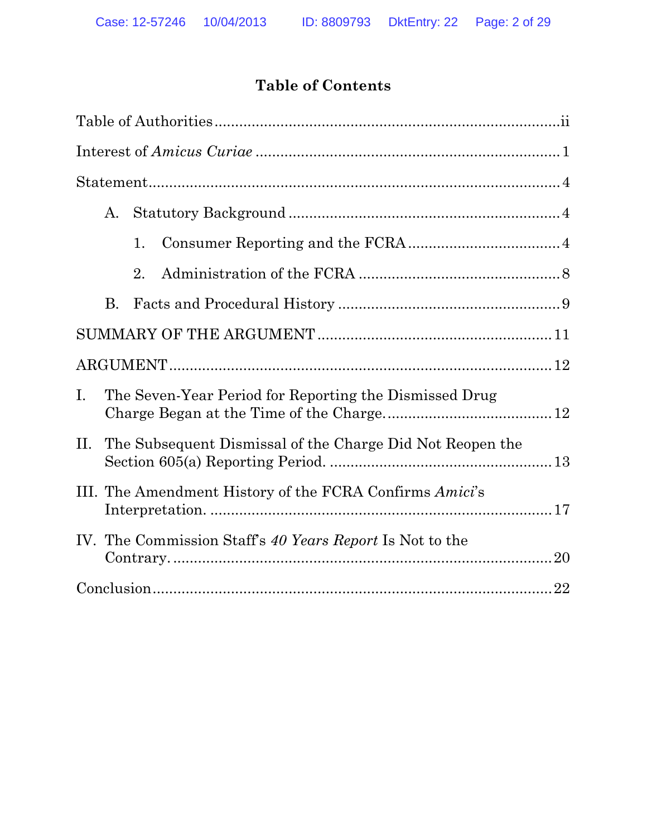# **Table of Contents**

|             | A.                                                             |    |  |  |  |
|-------------|----------------------------------------------------------------|----|--|--|--|
|             |                                                                | 1. |  |  |  |
|             |                                                                | 2. |  |  |  |
|             | <b>B.</b>                                                      |    |  |  |  |
|             |                                                                |    |  |  |  |
|             |                                                                |    |  |  |  |
| $I_{\cdot}$ | The Seven-Year Period for Reporting the Dismissed Drug         |    |  |  |  |
| П.          | The Subsequent Dismissal of the Charge Did Not Reopen the      |    |  |  |  |
|             | III. The Amendment History of the FCRA Confirms Amici's        |    |  |  |  |
|             | IV. The Commission Staff's 40 Years Report Is Not to the<br>20 |    |  |  |  |
|             |                                                                |    |  |  |  |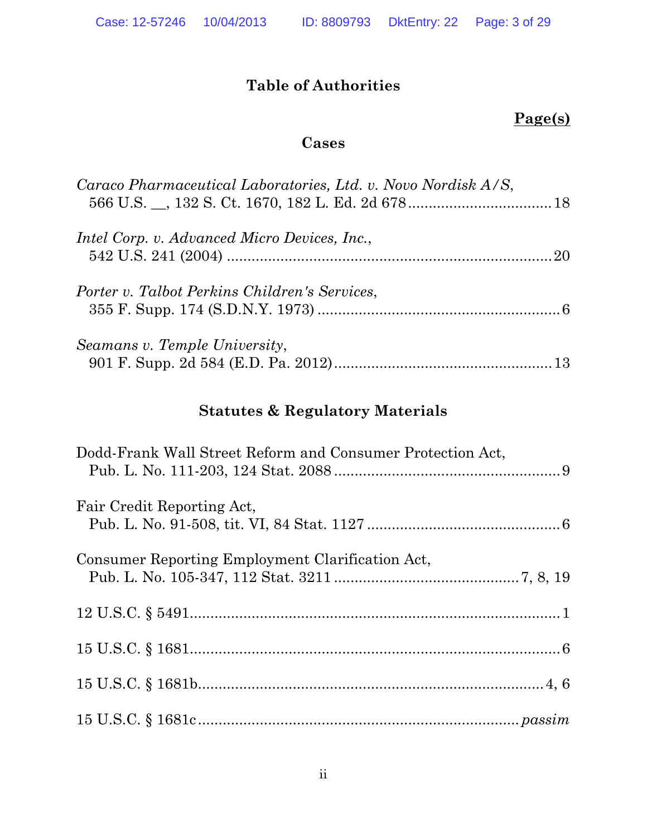# **Table of Authorities**

# **Page(s)**

#### **Cases**

| Caraco Pharmaceutical Laboratories, Ltd. v. Novo Nordisk A/S, |  |
|---------------------------------------------------------------|--|
| <i>Intel Corp. v. Advanced Micro Devices, Inc.,</i>           |  |
| Porter v. Talbot Perkins Children's Services,                 |  |
| Seamans v. Temple University,                                 |  |

# **Statutes & Regulatory Materials**

| Dodd-Frank Wall Street Reform and Consumer Protection Act, |
|------------------------------------------------------------|
| Fair Credit Reporting Act,                                 |
| Consumer Reporting Employment Clarification Act,           |
|                                                            |
|                                                            |
|                                                            |
|                                                            |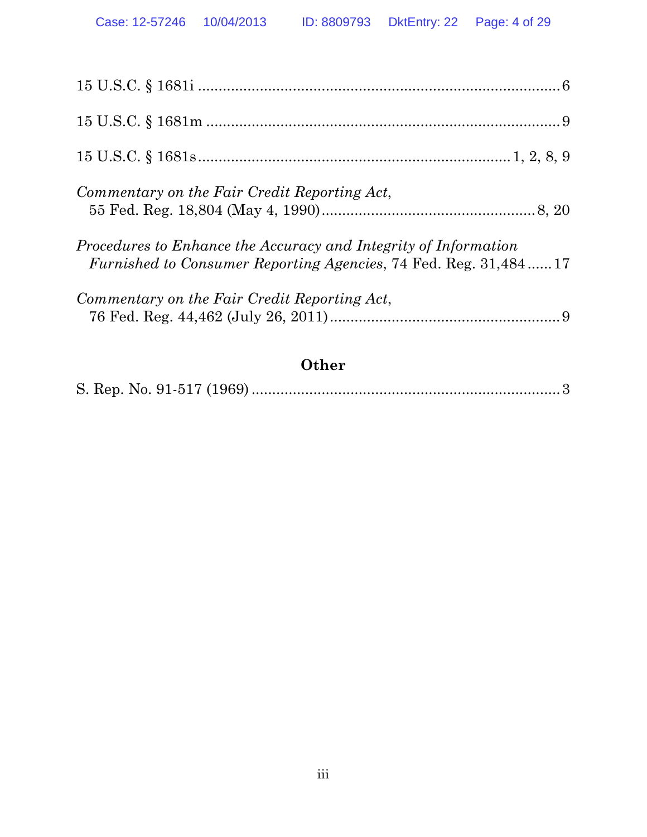| Commentary on the Fair Credit Reporting Act,                                                                                              |
|-------------------------------------------------------------------------------------------------------------------------------------------|
| Procedures to Enhance the Accuracy and Integrity of Information<br><i>Furnished to Consumer Reporting Agencies, 74 Fed. Reg. 31,48417</i> |
| Commentary on the Fair Credit Reporting Act,                                                                                              |
|                                                                                                                                           |
|                                                                                                                                           |
|                                                                                                                                           |

## **Other**

|--|--|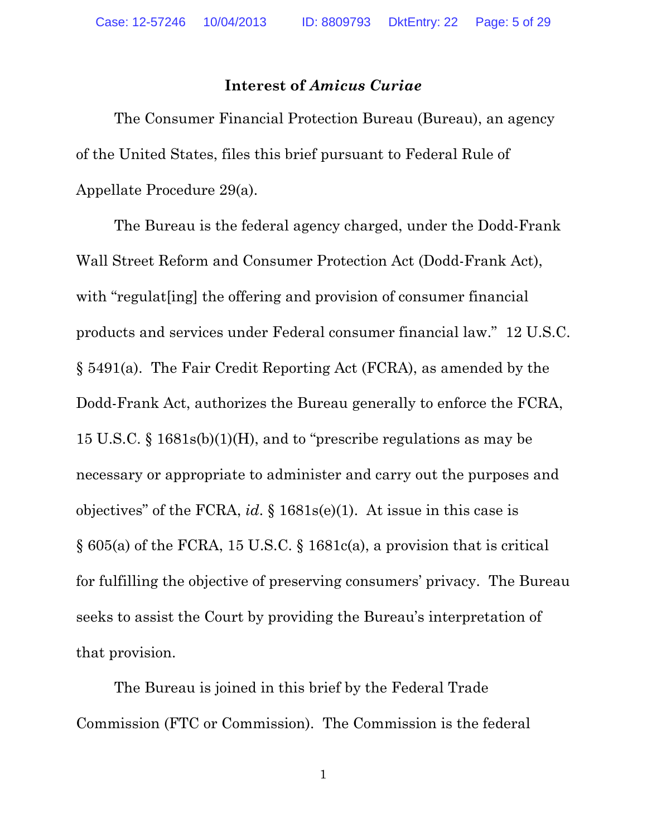#### **Interest of** *Amicus Curiae*

The Consumer Financial Protection Bureau (Bureau), an agency of the United States, files this brief pursuant to Federal Rule of Appellate Procedure 29(a).

The Bureau is the federal agency charged, under the Dodd-Frank Wall Street Reform and Consumer Protection Act (Dodd-Frank Act), with "regulat [ing] the offering and provision of consumer financial products and services under Federal consumer financial law." 12 U.S.C. § 5491(a). The Fair Credit Reporting Act (FCRA), as amended by the Dodd-Frank Act, authorizes the Bureau generally to enforce the FCRA, 15 U.S.C. § 1681s(b)(1)(H), and to "prescribe regulations as may be necessary or appropriate to administer and carry out the purposes and objectives" of the FCRA, *id*. § 1681s(e)(1). At issue in this case is § 605(a) of the FCRA, 15 U.S.C. § 1681c(a), a provision that is critical for fulfilling the objective of preserving consumers' privacy. The Bureau seeks to assist the Court by providing the Bureau's interpretation of that provision.

The Bureau is joined in this brief by the Federal Trade Commission (FTC or Commission). The Commission is the federal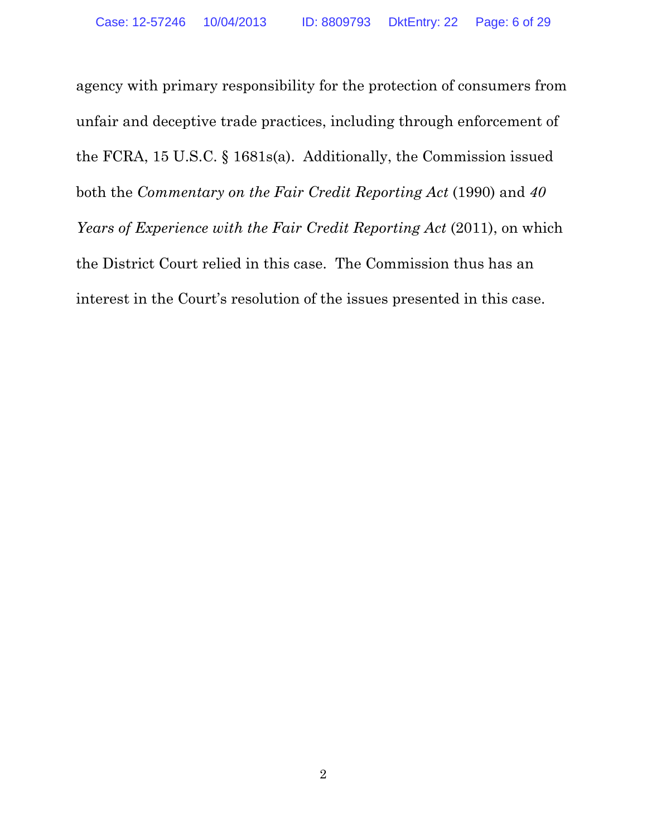agency with primary responsibility for the protection of consumers from unfair and deceptive trade practices, including through enforcement of the FCRA, 15 U.S.C. § 1681s(a). Additionally, the Commission issued both the *Commentary on the Fair Credit Reporting Act* (1990) and *40 Years of Experience with the Fair Credit Reporting Act* (2011), on which the District Court relied in this case. The Commission thus has an interest in the Court's resolution of the issues presented in this case.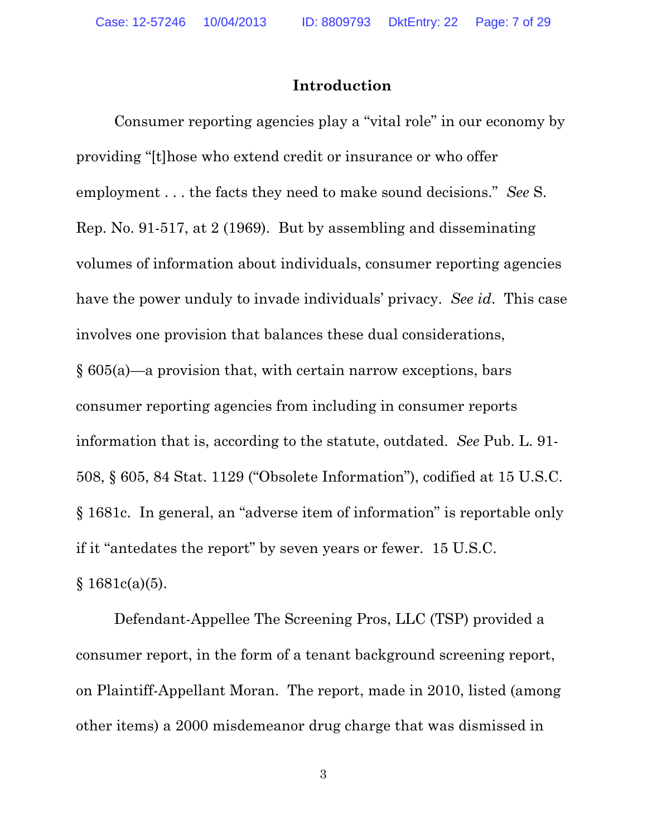#### **Introduction**

Consumer reporting agencies play a "vital role" in our economy by providing "[t]hose who extend credit or insurance or who offer employment . . . the facts they need to make sound decisions." *See* S. Rep. No. 91-517, at 2 (1969). But by assembling and disseminating volumes of information about individuals, consumer reporting agencies have the power unduly to invade individuals' privacy. *See id*. This case involves one provision that balances these dual considerations, § 605(a)—a provision that, with certain narrow exceptions, bars consumer reporting agencies from including in consumer reports information that is, according to the statute, outdated. *See* Pub. L. 91- 508, § 605, 84 Stat. 1129 ("Obsolete Information"), codified at 15 U.S.C. § 1681c. In general, an "adverse item of information" is reportable only if it "antedates the report" by seven years or fewer. 15 U.S.C.  $§ 1681c(a)(5).$ 

Defendant-Appellee The Screening Pros, LLC (TSP) provided a consumer report, in the form of a tenant background screening report, on Plaintiff-Appellant Moran. The report, made in 2010, listed (among other items) a 2000 misdemeanor drug charge that was dismissed in

3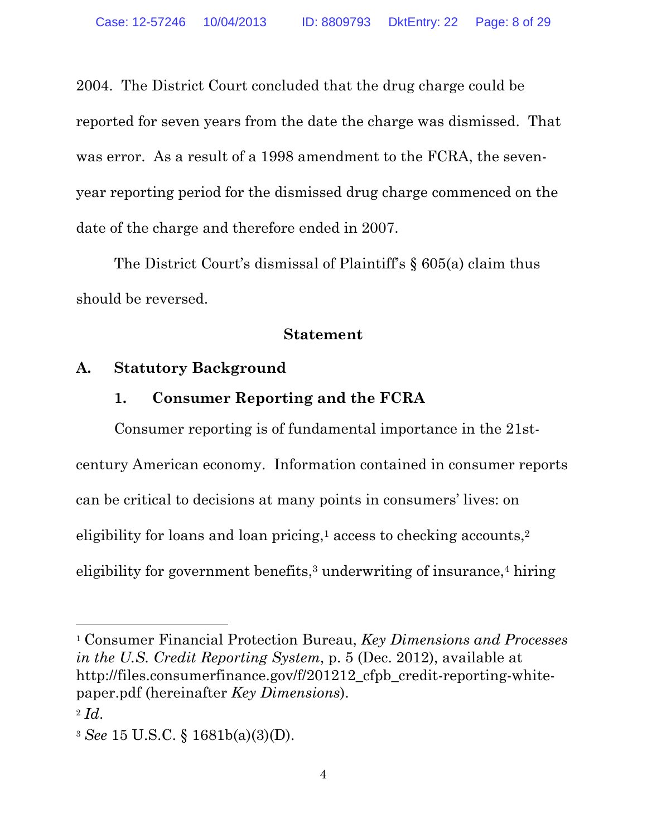2004. The District Court concluded that the drug charge could be reported for seven years from the date the charge was dismissed. That was error. As a result of a 1998 amendment to the FCRA, the sevenyear reporting period for the dismissed drug charge commenced on the date of the charge and therefore ended in 2007.

The District Court's dismissal of Plaintiff's § 605(a) claim thus should be reversed.

#### **Statement**

## **A. Statutory Background**

## **1. Consumer Reporting and the FCRA**

Consumer reporting is of fundamental importance in the 21stcentury American economy. Information contained in consumer reports can be critical to decisions at many points in consumers' lives: on eligibility for loans and loan pricing, $1$  access to checking accounts, $2$ eligibility for government benefits, $3$  underwriting of insurance, $4$  hiring

<sup>1</sup> Consumer Financial Protection Bureau, *Key Dimensions and Processes in the U.S. Credit Reporting System*, p. 5 (Dec. 2012), available at http://files.consumerfinance.gov/f/201212\_cfpb\_credit-reporting-whitepaper.pdf (hereinafter *Key Dimensions*). <sup>2</sup> *Id*.

<sup>3</sup> *See* 15 U.S.C. § 1681b(a)(3)(D).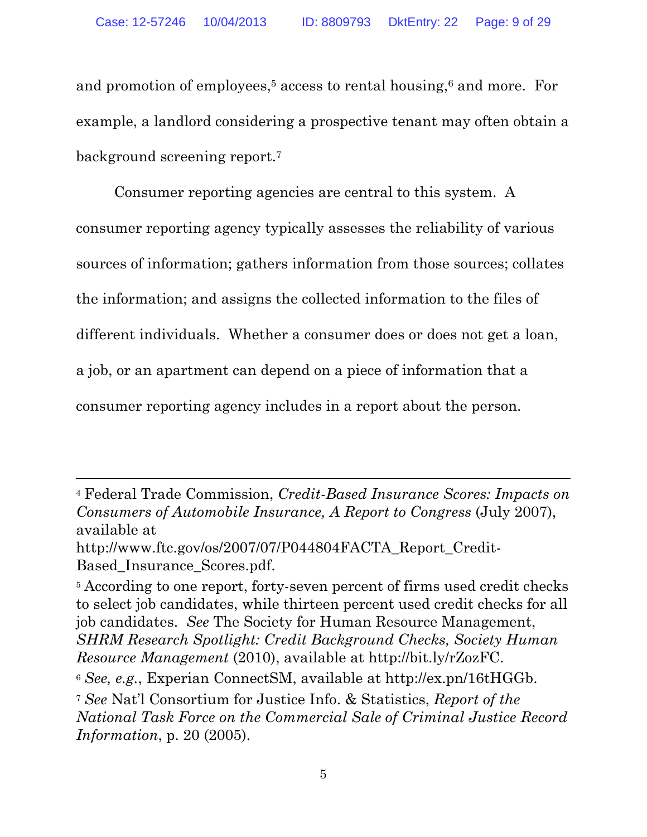and promotion of employees,<sup>5</sup> access to rental housing, $6$  and more. For example, a landlord considering a prospective tenant may often obtain a background screening report.7

Consumer reporting agencies are central to this system. A consumer reporting agency typically assesses the reliability of various sources of information; gathers information from those sources; collates the information; and assigns the collected information to the files of different individuals. Whether a consumer does or does not get a loan, a job, or an apartment can depend on a piece of information that a consumer reporting agency includes in a report about the person.

<sup>4</sup> Federal Trade Commission, *Credit-Based Insurance Scores: Impacts on Consumers of Automobile Insurance, A Report to Congress* (July 2007), available at

http://www.ftc.gov/os/2007/07/P044804FACTA\_Report\_Credit-Based\_Insurance\_Scores.pdf.

 $\overline{a}$ 

<sup>5</sup> According to one report, forty-seven percent of firms used credit checks to select job candidates, while thirteen percent used credit checks for all job candidates. *See* The Society for Human Resource Management, *SHRM Research Spotlight: Credit Background Checks, Society Human Resource Management* (2010), available at http://bit.ly/rZozFC.

<sup>6</sup> *See, e.g.*, Experian ConnectSM, available at http://ex.pn/16tHGGb.

<sup>7</sup> *See* Nat'l Consortium for Justice Info. & Statistics, *Report of the National Task Force on the Commercial Sale of Criminal Justice Record Information*, p. 20 (2005).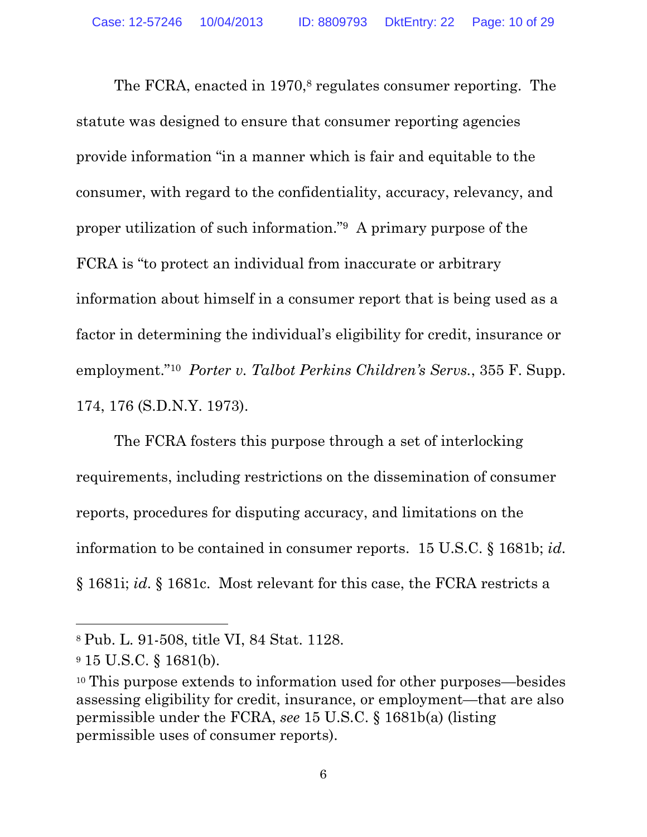The FCRA, enacted in 1970,<sup>8</sup> regulates consumer reporting. The statute was designed to ensure that consumer reporting agencies provide information "in a manner which is fair and equitable to the consumer, with regard to the confidentiality, accuracy, relevancy, and proper utilization of such information."9 A primary purpose of the FCRA is "to protect an individual from inaccurate or arbitrary information about himself in a consumer report that is being used as a factor in determining the individual's eligibility for credit, insurance or employment."10 *Porter v. Talbot Perkins Children's Servs.*, 355 F. Supp. 174, 176 (S.D.N.Y. 1973).

The FCRA fosters this purpose through a set of interlocking requirements, including restrictions on the dissemination of consumer reports, procedures for disputing accuracy, and limitations on the information to be contained in consumer reports. 15 U.S.C. § 1681b; *id*. § 1681i; *id*. § 1681c. Most relevant for this case, the FCRA restricts a

<sup>8</sup> Pub. L. 91-508, title VI, 84 Stat. 1128.

<sup>9</sup> 15 U.S.C. § 1681(b).

<sup>10</sup> This purpose extends to information used for other purposes—besides assessing eligibility for credit, insurance, or employment—that are also permissible under the FCRA, *see* 15 U.S.C. § 1681b(a) (listing permissible uses of consumer reports).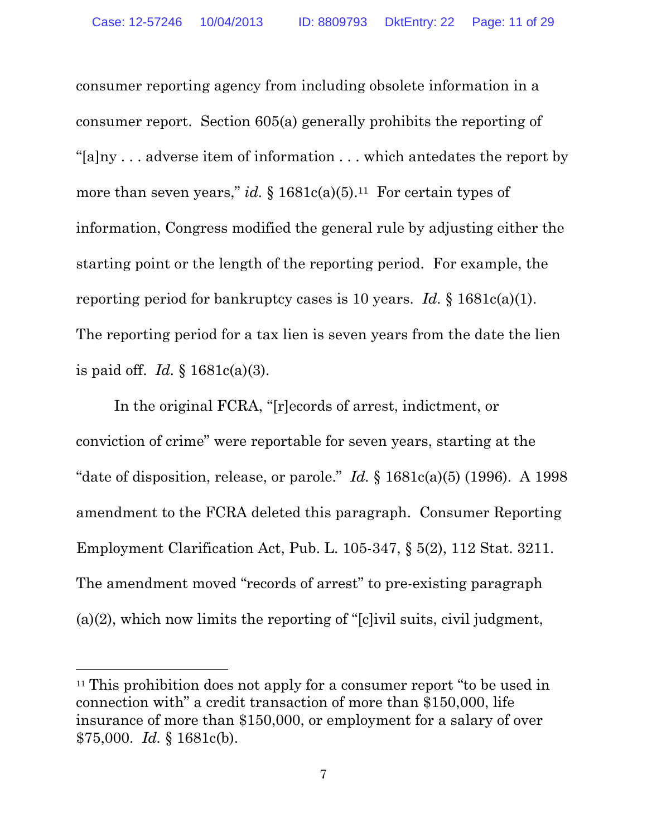consumer reporting agency from including obsolete information in a consumer report. Section 605(a) generally prohibits the reporting of "[a]ny . . . adverse item of information . . . which antedates the report by more than seven years," *id.*  $\S 1681c(a)(5)$ .<sup>11</sup> For certain types of information, Congress modified the general rule by adjusting either the starting point or the length of the reporting period. For example, the reporting period for bankruptcy cases is 10 years. *Id.* § 1681c(a)(1). The reporting period for a tax lien is seven years from the date the lien is paid off. *Id.* § 1681c(a)(3).

In the original FCRA, "[r]ecords of arrest, indictment, or conviction of crime" were reportable for seven years, starting at the "date of disposition, release, or parole."  $Id. \S 1681c(a)(5)$  (1996). A 1998 amendment to the FCRA deleted this paragraph. Consumer Reporting Employment Clarification Act, Pub. L. 105-347, § 5(2), 112 Stat. 3211. The amendment moved "records of arrest" to pre-existing paragraph  $(a)(2)$ , which now limits the reporting of "[c]ivil suits, civil judgment,

<sup>&</sup>lt;sup>11</sup> This prohibition does not apply for a consumer report "to be used in connection with" a credit transaction of more than \$150,000, life insurance of more than \$150,000, or employment for a salary of over \$75,000. *Id.* § 1681c(b).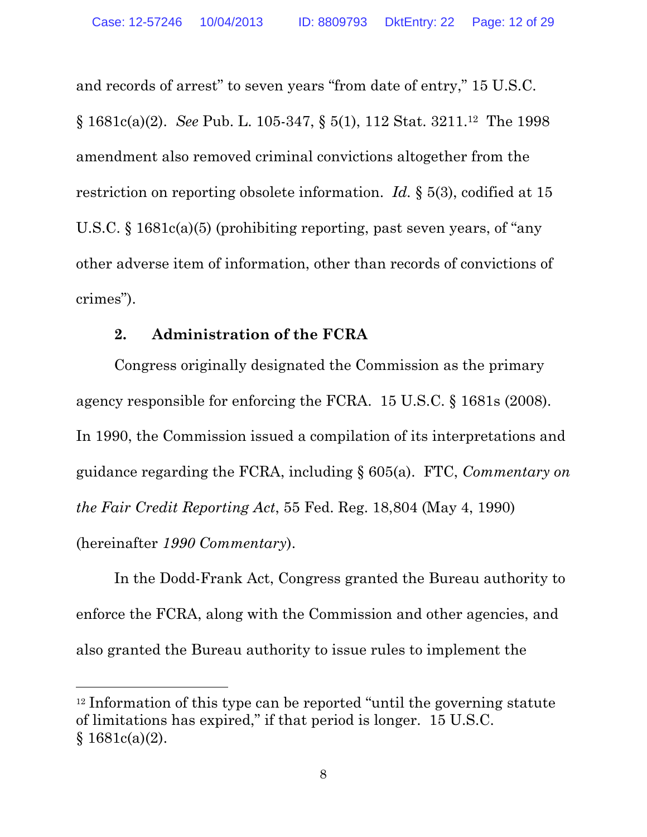and records of arrest" to seven years "from date of entry," 15 U.S.C. § 1681c(a)(2). *See* Pub. L. 105-347, § 5(1), 112 Stat. 3211.12 The 1998 amendment also removed criminal convictions altogether from the restriction on reporting obsolete information. *Id.* § 5(3), codified at 15 U.S.C. § 1681c(a)(5) (prohibiting reporting, past seven years, of "any other adverse item of information, other than records of convictions of crimes").

#### **2. Administration of the FCRA**

 $\overline{a}$ 

Congress originally designated the Commission as the primary agency responsible for enforcing the FCRA. 15 U.S.C. § 1681s (2008). In 1990, the Commission issued a compilation of its interpretations and guidance regarding the FCRA, including § 605(a). FTC, *Commentary on the Fair Credit Reporting Act*, 55 Fed. Reg. 18,804 (May 4, 1990) (hereinafter *1990 Commentary*).

In the Dodd-Frank Act, Congress granted the Bureau authority to enforce the FCRA, along with the Commission and other agencies, and also granted the Bureau authority to issue rules to implement the

<sup>12</sup> Information of this type can be reported "until the governing statute of limitations has expired," if that period is longer. 15 U.S.C.  $§ 1681c(a)(2).$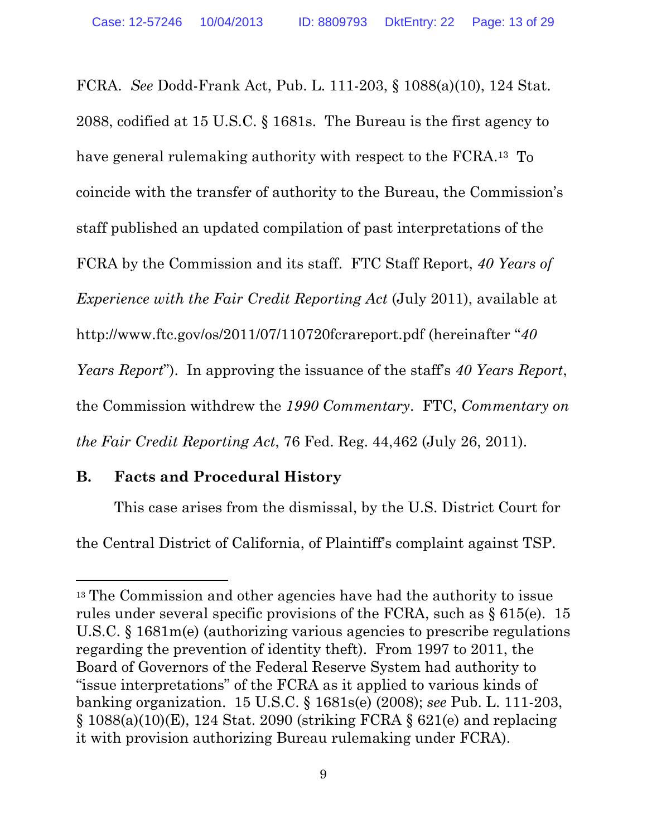FCRA. *See* Dodd-Frank Act, Pub. L. 111-203, § 1088(a)(10), 124 Stat. 2088, codified at 15 U.S.C. § 1681s. The Bureau is the first agency to have general rulemaking authority with respect to the FCRA.<sup>13</sup> To coincide with the transfer of authority to the Bureau, the Commission's staff published an updated compilation of past interpretations of the FCRA by the Commission and its staff. FTC Staff Report, *40 Years of Experience with the Fair Credit Reporting Act* (July 2011), available at http://www.ftc.gov/os/2011/07/110720fcrareport.pdf (hereinafter "*40 Years Report*"). In approving the issuance of the staff's *40 Years Report*, the Commission withdrew the *1990 Commentary*. FTC, *Commentary on the Fair Credit Reporting Act*, 76 Fed. Reg. 44,462 (July 26, 2011).

## **B. Facts and Procedural History**

 $\overline{a}$ 

This case arises from the dismissal, by the U.S. District Court for

the Central District of California, of Plaintiff's complaint against TSP.

<sup>&</sup>lt;sup>13</sup> The Commission and other agencies have had the authority to issue rules under several specific provisions of the FCRA, such as § 615(e). 15 U.S.C. § 1681m(e) (authorizing various agencies to prescribe regulations regarding the prevention of identity theft). From 1997 to 2011, the Board of Governors of the Federal Reserve System had authority to "issue interpretations" of the FCRA as it applied to various kinds of banking organization. 15 U.S.C. § 1681s(e) (2008); *see* Pub. L. 111-203, § 1088(a)(10)(E), 124 Stat. 2090 (striking FCRA § 621(e) and replacing it with provision authorizing Bureau rulemaking under FCRA).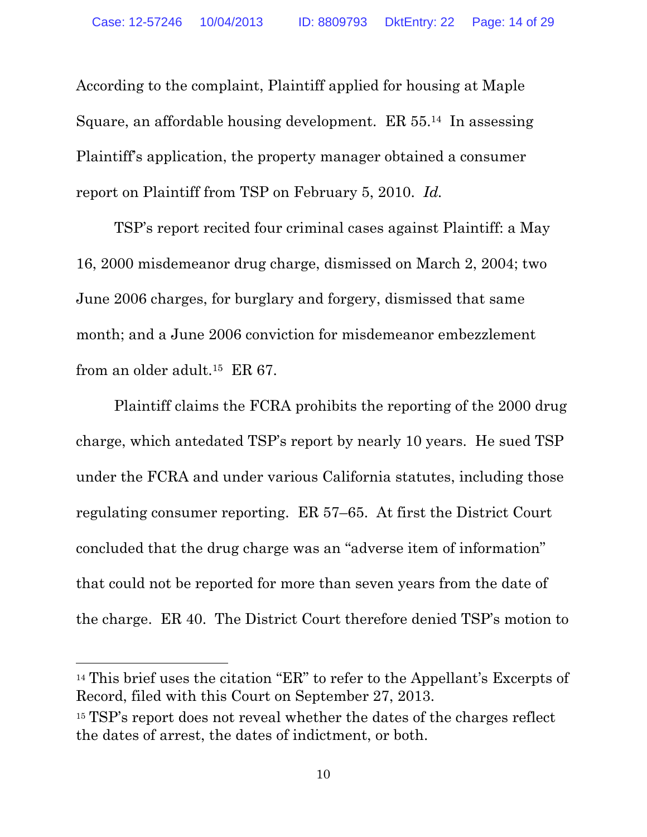According to the complaint, Plaintiff applied for housing at Maple Square, an affordable housing development. ER 55.14 In assessing Plaintiff's application, the property manager obtained a consumer report on Plaintiff from TSP on February 5, 2010. *Id.*

TSP's report recited four criminal cases against Plaintiff: a May 16, 2000 misdemeanor drug charge, dismissed on March 2, 2004; two June 2006 charges, for burglary and forgery, dismissed that same month; and a June 2006 conviction for misdemeanor embezzlement from an older adult.15 ER 67.

Plaintiff claims the FCRA prohibits the reporting of the 2000 drug charge, which antedated TSP's report by nearly 10 years. He sued TSP under the FCRA and under various California statutes, including those regulating consumer reporting. ER 57–65. At first the District Court concluded that the drug charge was an "adverse item of information" that could not be reported for more than seven years from the date of the charge. ER 40. The District Court therefore denied TSP's motion to

<sup>14</sup> This brief uses the citation "ER" to refer to the Appellant's Excerpts of Record, filed with this Court on September 27, 2013. <sup>15</sup> TSP's report does not reveal whether the dates of the charges reflect the dates of arrest, the dates of indictment, or both.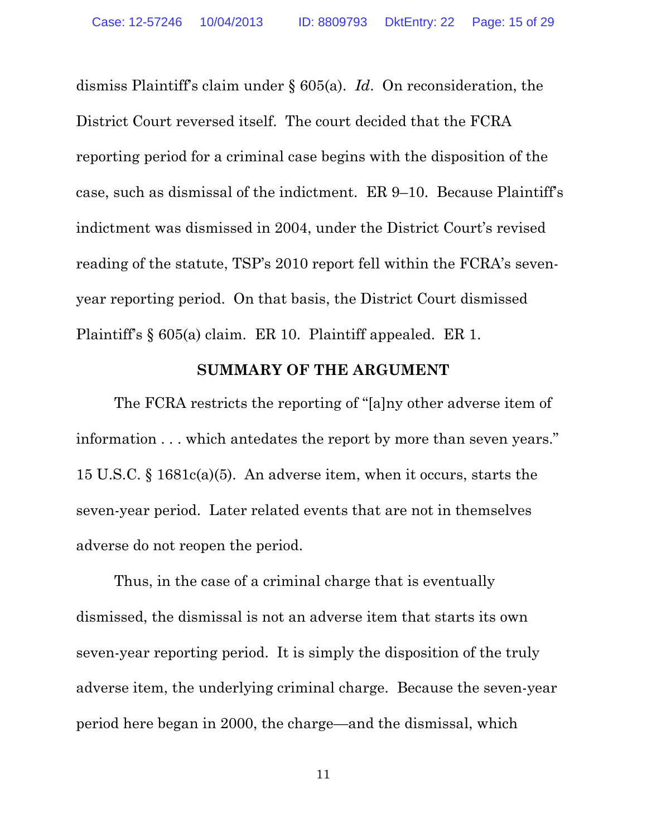dismiss Plaintiff's claim under § 605(a). *Id*. On reconsideration, the District Court reversed itself. The court decided that the FCRA reporting period for a criminal case begins with the disposition of the case, such as dismissal of the indictment. ER 9–10. Because Plaintiff's indictment was dismissed in 2004, under the District Court's revised reading of the statute, TSP's 2010 report fell within the FCRA's sevenyear reporting period. On that basis, the District Court dismissed Plaintiff's § 605(a) claim. ER 10. Plaintiff appealed. ER 1.

#### **SUMMARY OF THE ARGUMENT**

The FCRA restricts the reporting of "[a]ny other adverse item of information . . . which antedates the report by more than seven years." 15 U.S.C. § 1681c(a)(5). An adverse item, when it occurs, starts the seven-year period. Later related events that are not in themselves adverse do not reopen the period.

Thus, in the case of a criminal charge that is eventually dismissed, the dismissal is not an adverse item that starts its own seven-year reporting period. It is simply the disposition of the truly adverse item, the underlying criminal charge. Because the seven-year period here began in 2000, the charge—and the dismissal, which

11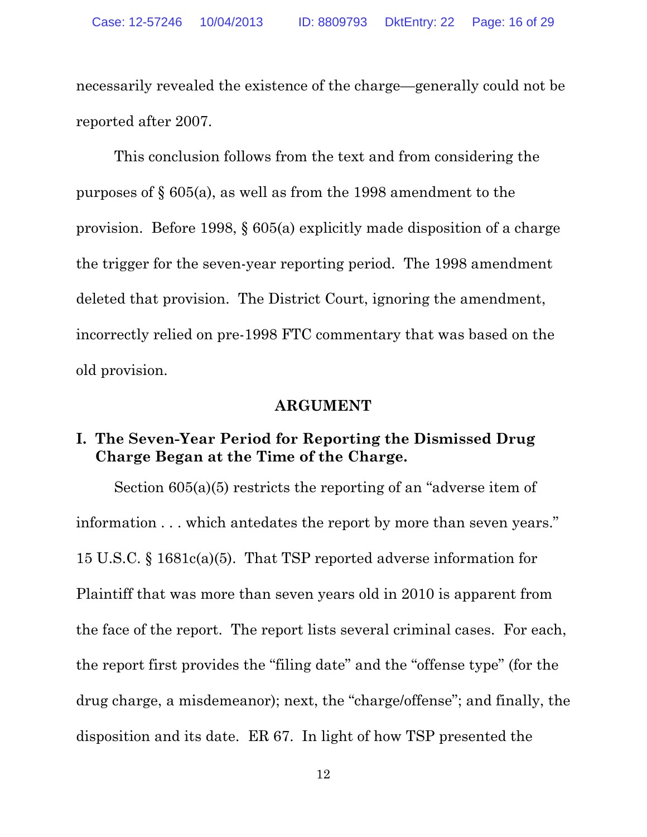necessarily revealed the existence of the charge—generally could not be reported after 2007.

This conclusion follows from the text and from considering the purposes of § 605(a), as well as from the 1998 amendment to the provision. Before 1998, § 605(a) explicitly made disposition of a charge the trigger for the seven-year reporting period. The 1998 amendment deleted that provision. The District Court, ignoring the amendment, incorrectly relied on pre-1998 FTC commentary that was based on the old provision.

#### **ARGUMENT**

#### **I. The Seven-Year Period for Reporting the Dismissed Drug Charge Began at the Time of the Charge.**

Section 605(a)(5) restricts the reporting of an "adverse item of information . . . which antedates the report by more than seven years." 15 U.S.C. § 1681c(a)(5). That TSP reported adverse information for Plaintiff that was more than seven years old in 2010 is apparent from the face of the report. The report lists several criminal cases. For each, the report first provides the "filing date" and the "offense type" (for the drug charge, a misdemeanor); next, the "charge/offense"; and finally, the disposition and its date. ER 67. In light of how TSP presented the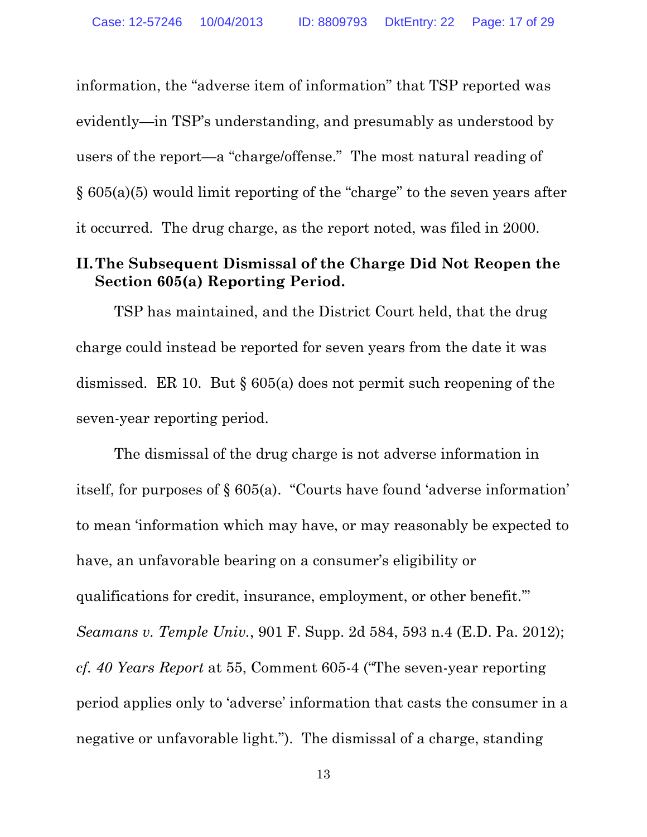information, the "adverse item of information" that TSP reported was evidently—in TSP's understanding, and presumably as understood by users of the report—a "charge/offense." The most natural reading of § 605(a)(5) would limit reporting of the "charge" to the seven years after it occurred. The drug charge, as the report noted, was filed in 2000.

### **II.The Subsequent Dismissal of the Charge Did Not Reopen the Section 605(a) Reporting Period.**

TSP has maintained, and the District Court held, that the drug charge could instead be reported for seven years from the date it was dismissed. ER 10. But § 605(a) does not permit such reopening of the seven-year reporting period.

The dismissal of the drug charge is not adverse information in itself, for purposes of § 605(a). "Courts have found 'adverse information' to mean 'information which may have, or may reasonably be expected to have, an unfavorable bearing on a consumer's eligibility or qualifications for credit, insurance, employment, or other benefit.'" *Seamans v. Temple Univ.*, 901 F. Supp. 2d 584, 593 n.4 (E.D. Pa. 2012); *cf. 40 Years Report* at 55, Comment 605-4 ("The seven-year reporting period applies only to 'adverse' information that casts the consumer in a negative or unfavorable light."). The dismissal of a charge, standing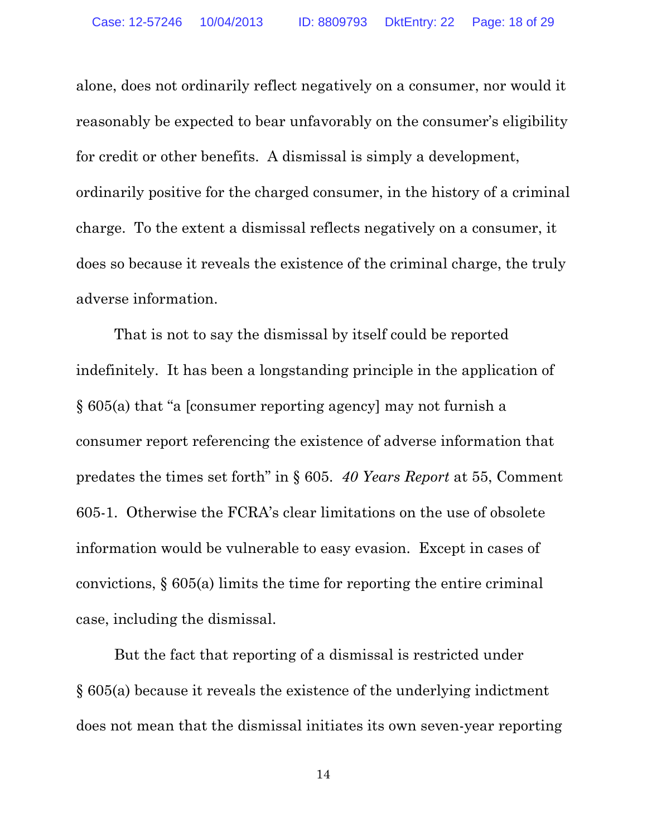alone, does not ordinarily reflect negatively on a consumer, nor would it reasonably be expected to bear unfavorably on the consumer's eligibility for credit or other benefits. A dismissal is simply a development, ordinarily positive for the charged consumer, in the history of a criminal charge. To the extent a dismissal reflects negatively on a consumer, it does so because it reveals the existence of the criminal charge, the truly adverse information.

That is not to say the dismissal by itself could be reported indefinitely. It has been a longstanding principle in the application of § 605(a) that "a [consumer reporting agency] may not furnish a consumer report referencing the existence of adverse information that predates the times set forth" in § 605. *40 Years Report* at 55, Comment 605-1. Otherwise the FCRA's clear limitations on the use of obsolete information would be vulnerable to easy evasion. Except in cases of convictions, § 605(a) limits the time for reporting the entire criminal case, including the dismissal.

But the fact that reporting of a dismissal is restricted under § 605(a) because it reveals the existence of the underlying indictment does not mean that the dismissal initiates its own seven-year reporting

14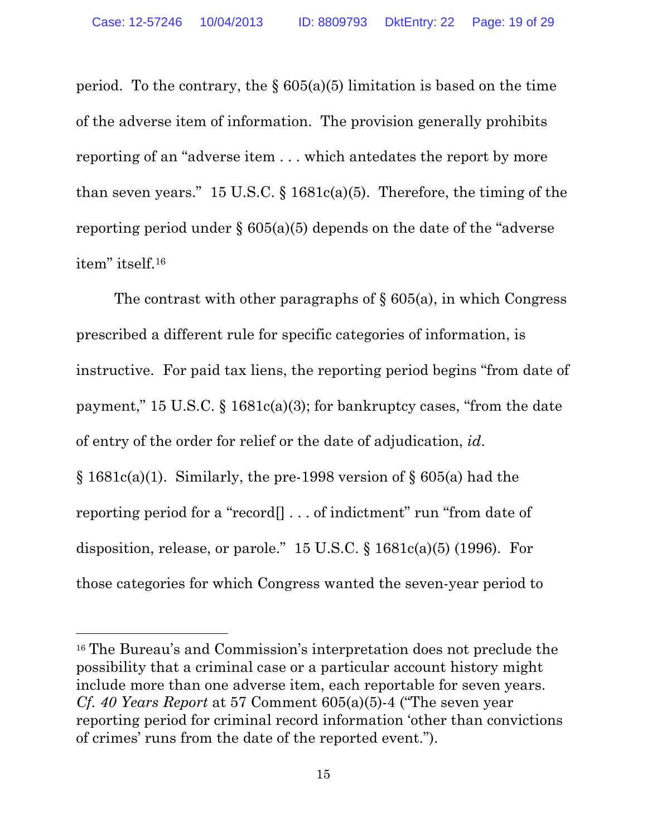period. To the contrary, the  $\S 605(a)(5)$  limitation is based on the time of the adverse item of information. The provision generally prohibits reporting of an "adverse item . . . which antedates the report by more than seven years." 15 U.S.C.  $\S$  1681c(a)(5). Therefore, the timing of the reporting period under § 605(a)(5) depends on the date of the "adverse item" itself.16

The contrast with other paragraphs of  $\S$  605(a), in which Congress prescribed a different rule for specific categories of information, is instructive. For paid tax liens, the reporting period begins "from date of payment," 15 U.S.C. § 1681c(a)(3); for bankruptcy cases, "from the date of entry of the order for relief or the date of adjudication, *id*.  $§ 1681c(a)(1)$ . Similarly, the pre-1998 version of § 605(a) had the reporting period for a "record[] . . . of indictment" run "from date of disposition, release, or parole." 15 U.S.C. § 1681c(a)(5) (1996). For those categories for which Congress wanted the seven-year period to

<sup>16</sup> The Bureau's and Commission's interpretation does not preclude the possibility that a criminal case or a particular account history might include more than one adverse item, each reportable for seven years. *Cf. 40 Years Report* at 57 Comment 605(a)(5)-4 ("The seven year reporting period for criminal record information 'other than convictions of crimes' runs from the date of the reported event.").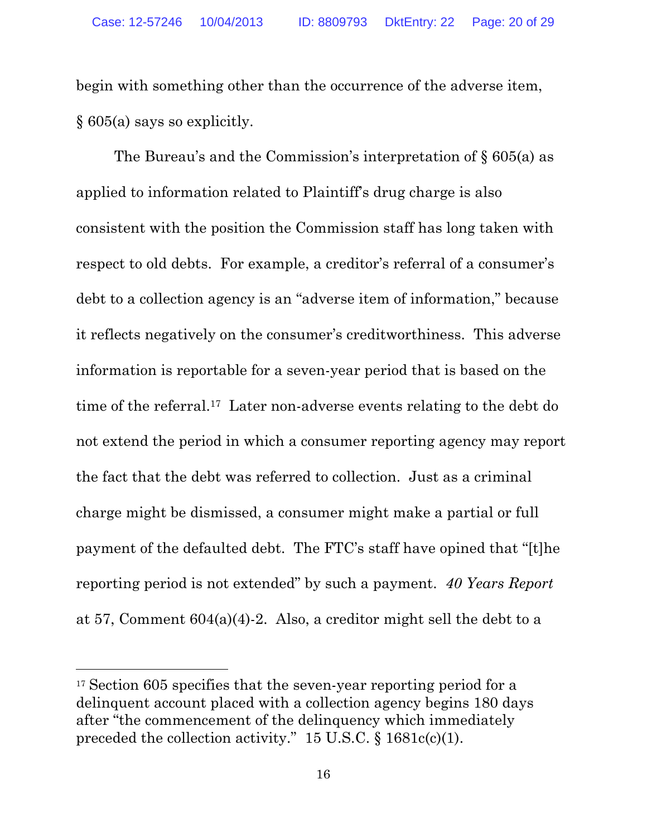begin with something other than the occurrence of the adverse item, § 605(a) says so explicitly.

The Bureau's and the Commission's interpretation of § 605(a) as applied to information related to Plaintiff's drug charge is also consistent with the position the Commission staff has long taken with respect to old debts. For example, a creditor's referral of a consumer's debt to a collection agency is an "adverse item of information," because it reflects negatively on the consumer's creditworthiness. This adverse information is reportable for a seven-year period that is based on the time of the referral.17 Later non-adverse events relating to the debt do not extend the period in which a consumer reporting agency may report the fact that the debt was referred to collection. Just as a criminal charge might be dismissed, a consumer might make a partial or full payment of the defaulted debt. The FTC's staff have opined that "[t]he reporting period is not extended" by such a payment. *40 Years Report* at 57, Comment 604(a)(4)-2. Also, a creditor might sell the debt to a

<sup>17</sup> Section 605 specifies that the seven-year reporting period for a delinquent account placed with a collection agency begins 180 days after "the commencement of the delinquency which immediately preceded the collection activity." 15 U.S.C. § 1681c(c)(1).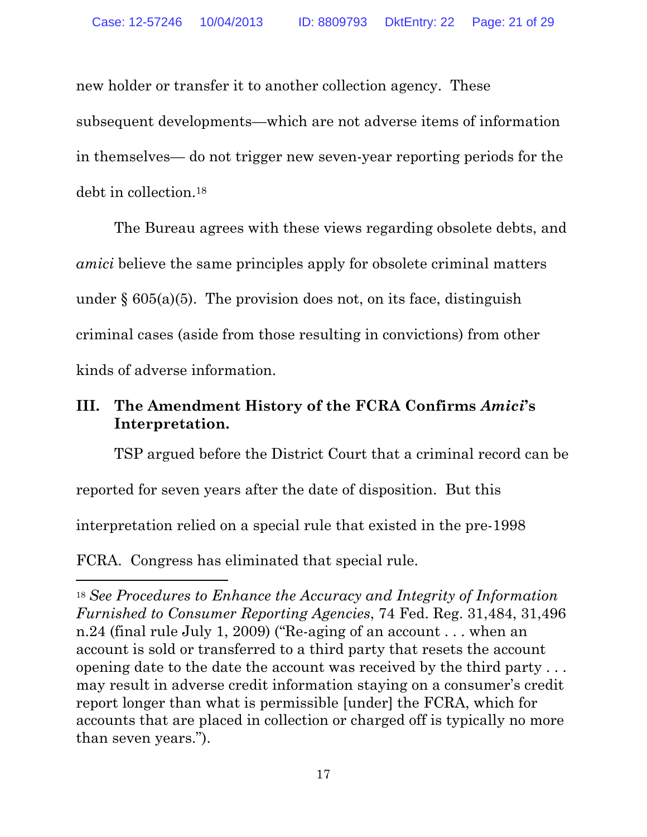new holder or transfer it to another collection agency. These subsequent developments—which are not adverse items of information in themselves— do not trigger new seven-year reporting periods for the debt in collection.18

The Bureau agrees with these views regarding obsolete debts, and *amici* believe the same principles apply for obsolete criminal matters under  $\S 605(a)(5)$ . The provision does not, on its face, distinguish criminal cases (aside from those resulting in convictions) from other kinds of adverse information.

# **III. The Amendment History of the FCRA Confirms** *Amici***'s Interpretation.**

TSP argued before the District Court that a criminal record can be reported for seven years after the date of disposition. But this interpretation relied on a special rule that existed in the pre-1998

FCRA. Congress has eliminated that special rule.

<sup>18</sup> *See Procedures to Enhance the Accuracy and Integrity of Information Furnished to Consumer Reporting Agencies*, 74 Fed. Reg. 31,484, 31,496 n.24 (final rule July 1, 2009) ("Re-aging of an account . . . when an account is sold or transferred to a third party that resets the account opening date to the date the account was received by the third party . . . may result in adverse credit information staying on a consumer's credit report longer than what is permissible [under] the FCRA, which for accounts that are placed in collection or charged off is typically no more than seven years.").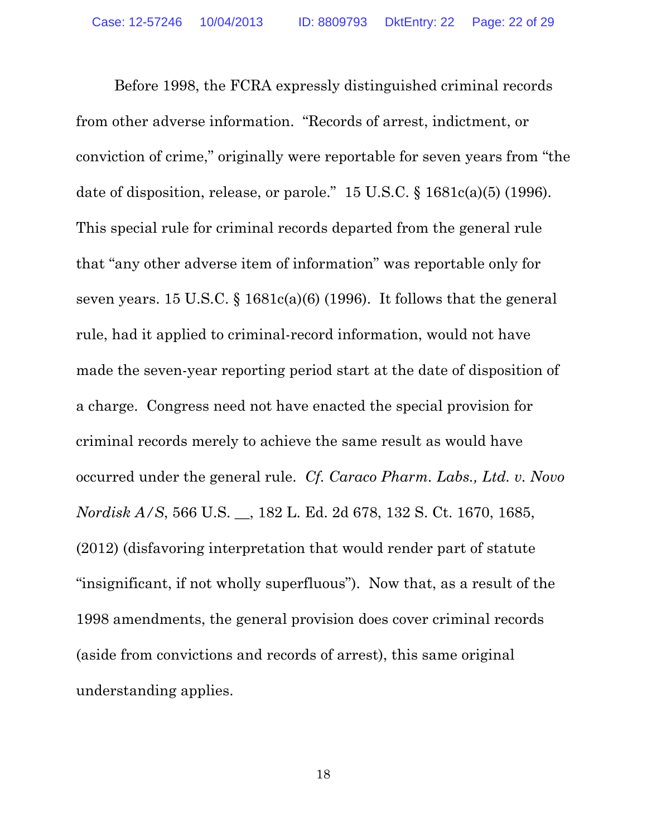Before 1998, the FCRA expressly distinguished criminal records from other adverse information. "Records of arrest, indictment, or conviction of crime," originally were reportable for seven years from "the date of disposition, release, or parole." 15 U.S.C. § 1681c(a)(5) (1996). This special rule for criminal records departed from the general rule that "any other adverse item of information" was reportable only for seven years. 15 U.S.C. § 1681c(a)(6) (1996). It follows that the general rule, had it applied to criminal-record information, would not have made the seven-year reporting period start at the date of disposition of a charge. Congress need not have enacted the special provision for criminal records merely to achieve the same result as would have occurred under the general rule. *Cf. Caraco Pharm. Labs., Ltd. v. Novo Nordisk A/S*, 566 U.S. \_\_, 182 L. Ed. 2d 678, 132 S. Ct. 1670, 1685, (2012) (disfavoring interpretation that would render part of statute "insignificant, if not wholly superfluous"). Now that, as a result of the 1998 amendments, the general provision does cover criminal records (aside from convictions and records of arrest), this same original understanding applies.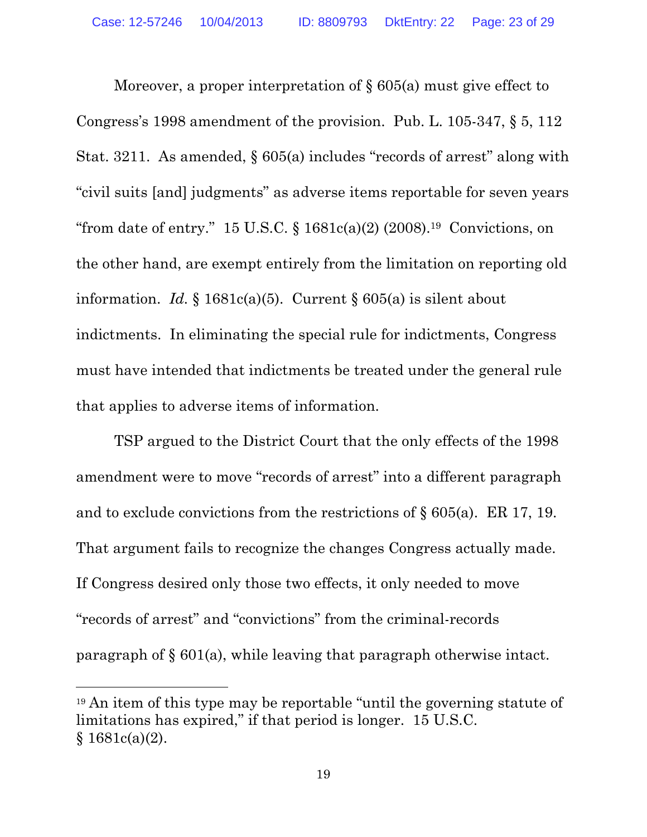Moreover, a proper interpretation of § 605(a) must give effect to Congress's 1998 amendment of the provision. Pub. L. 105-347, § 5, 112 Stat. 3211. As amended, § 605(a) includes "records of arrest" along with "civil suits [and] judgments" as adverse items reportable for seven years "from date of entry." 15 U.S.C.  $\S$  1681c(a)(2) (2008).<sup>19</sup> Convictions, on the other hand, are exempt entirely from the limitation on reporting old information. *Id.* § 1681c(a)(5). Current § 605(a) is silent about indictments. In eliminating the special rule for indictments, Congress must have intended that indictments be treated under the general rule that applies to adverse items of information.

TSP argued to the District Court that the only effects of the 1998 amendment were to move "records of arrest" into a different paragraph and to exclude convictions from the restrictions of  $\S 605(a)$ . ER 17, 19. That argument fails to recognize the changes Congress actually made. If Congress desired only those two effects, it only needed to move "records of arrest" and "convictions" from the criminal-records paragraph of § 601(a), while leaving that paragraph otherwise intact.

<sup>19</sup> An item of this type may be reportable "until the governing statute of limitations has expired," if that period is longer. 15 U.S.C.  $§ 1681c(a)(2).$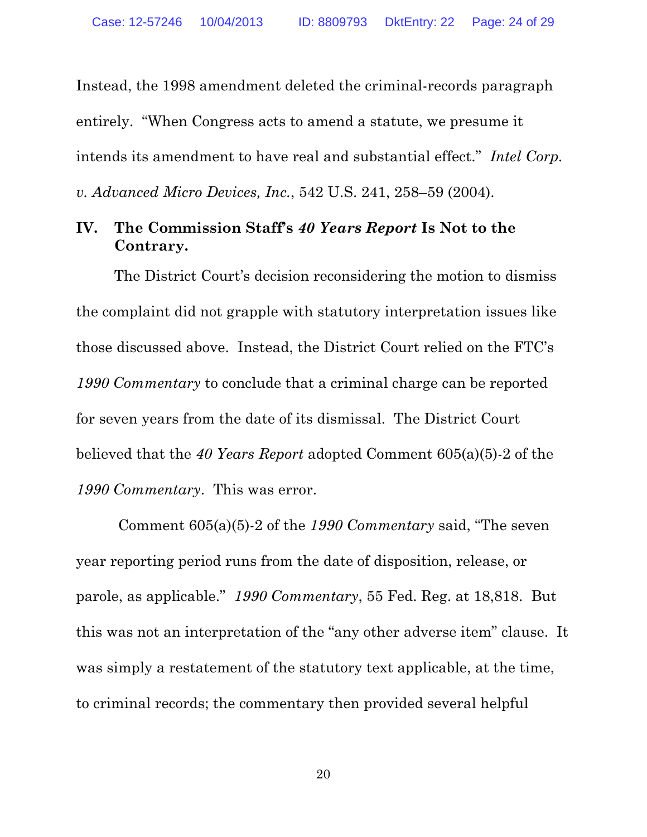Instead, the 1998 amendment deleted the criminal-records paragraph entirely. "When Congress acts to amend a statute, we presume it intends its amendment to have real and substantial effect." *Intel Corp. v. Advanced Micro Devices, Inc.*, 542 U.S. 241, 258–59 (2004).

## **IV. The Commission Staff's** *40 Years Report* **Is Not to the Contrary.**

The District Court's decision reconsidering the motion to dismiss the complaint did not grapple with statutory interpretation issues like those discussed above. Instead, the District Court relied on the FTC's *1990 Commentary* to conclude that a criminal charge can be reported for seven years from the date of its dismissal. The District Court believed that the *40 Years Report* adopted Comment 605(a)(5)-2 of the *1990 Commentary*. This was error.

 Comment 605(a)(5)-2 of the *1990 Commentary* said, "The seven year reporting period runs from the date of disposition, release, or parole, as applicable." *1990 Commentary*, 55 Fed. Reg. at 18,818. But this was not an interpretation of the "any other adverse item" clause. It was simply a restatement of the statutory text applicable, at the time, to criminal records; the commentary then provided several helpful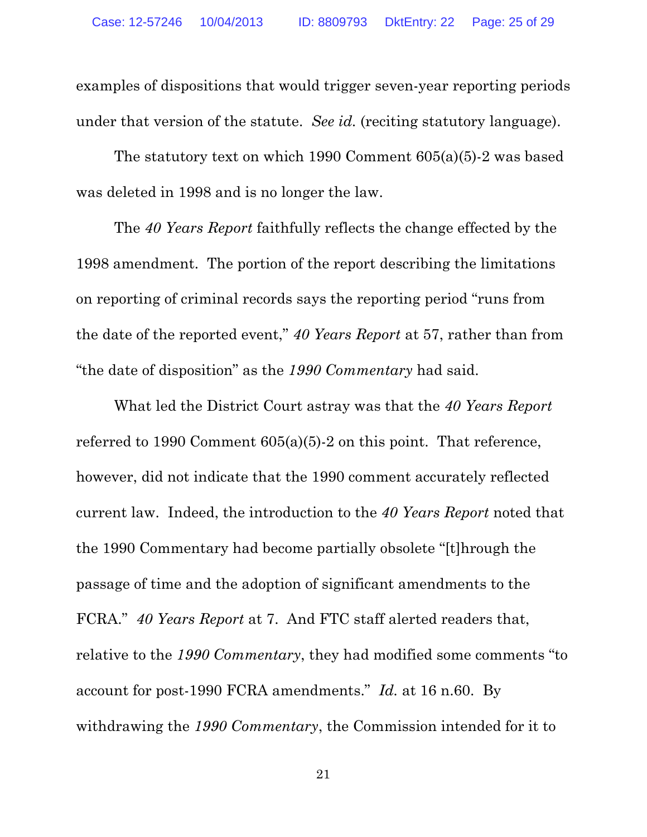examples of dispositions that would trigger seven-year reporting periods under that version of the statute. *See id.* (reciting statutory language).

The statutory text on which 1990 Comment 605(a)(5)-2 was based was deleted in 1998 and is no longer the law.

The *40 Years Report* faithfully reflects the change effected by the 1998 amendment. The portion of the report describing the limitations on reporting of criminal records says the reporting period "runs from the date of the reported event," *40 Years Report* at 57, rather than from "the date of disposition" as the *1990 Commentary* had said.

What led the District Court astray was that the *40 Years Report*  referred to 1990 Comment 605(a)(5)-2 on this point. That reference, however, did not indicate that the 1990 comment accurately reflected current law. Indeed, the introduction to the *40 Years Report* noted that the 1990 Commentary had become partially obsolete "[t]hrough the passage of time and the adoption of significant amendments to the FCRA." *40 Years Report* at 7. And FTC staff alerted readers that, relative to the *1990 Commentary*, they had modified some comments "to account for post-1990 FCRA amendments." *Id.* at 16 n.60. By withdrawing the *1990 Commentary*, the Commission intended for it to

21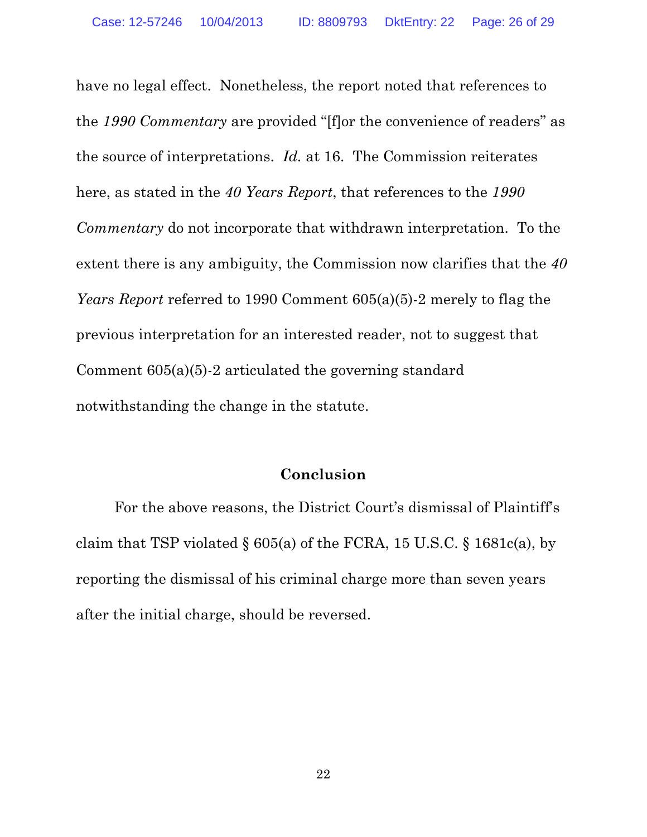have no legal effect. Nonetheless, the report noted that references to the *1990 Commentary* are provided "[f]or the convenience of readers" as the source of interpretations. *Id.* at 16. The Commission reiterates here, as stated in the *40 Years Report*, that references to the *1990 Commentary* do not incorporate that withdrawn interpretation. To the extent there is any ambiguity, the Commission now clarifies that the *40 Years Report* referred to 1990 Comment 605(a)(5)-2 merely to flag the previous interpretation for an interested reader, not to suggest that Comment 605(a)(5)-2 articulated the governing standard notwithstanding the change in the statute.

#### **Conclusion**

For the above reasons, the District Court's dismissal of Plaintiff's claim that TSP violated  $\S 605(a)$  of the FCRA, 15 U.S.C.  $\S 1681c(a)$ , by reporting the dismissal of his criminal charge more than seven years after the initial charge, should be reversed.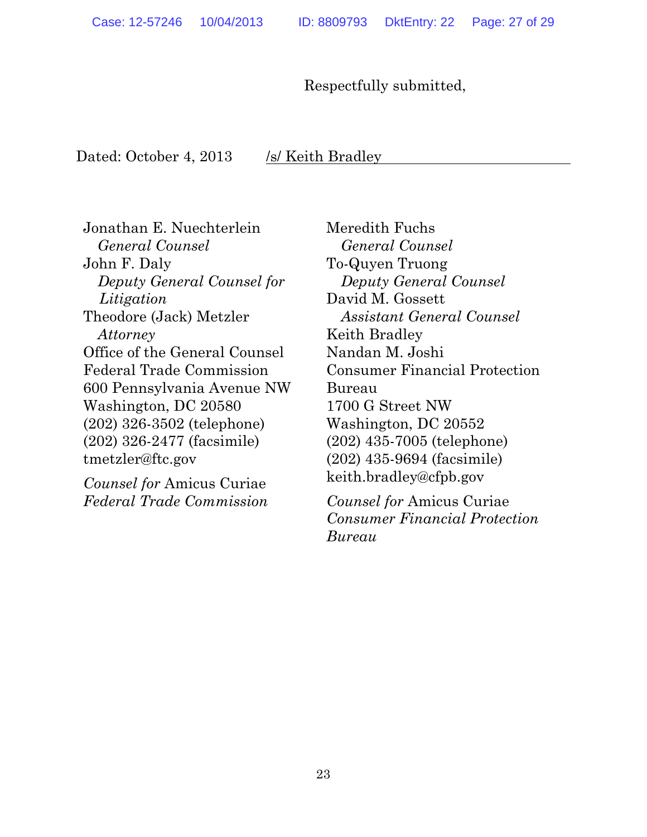#### Respectfully submitted,

Dated: October 4, 2013 /s/ Keith Bradley

Jonathan E. Nuechterlein *General Counsel*  John F. Daly  *Deputy General Counsel for Litigation*  Theodore (Jack) Metzler *Attorney*  Office of the General Counsel Federal Trade Commission 600 Pennsylvania Avenue NW Washington, DC 20580 (202) 326-3502 (telephone) (202) 326-2477 (facsimile) tmetzler@ftc.gov

*Counsel for* Amicus Curiae *Federal Trade Commission*

Meredith Fuchs *General Counsel*  To-Quyen Truong  *Deputy General Counsel*  David M. Gossett *Assistant General Counsel*  Keith Bradley Nandan M. Joshi Consumer Financial Protection Bureau 1700 G Street NW Washington, DC 20552 (202) 435-7005 (telephone) (202) 435-9694 (facsimile) keith.bradley@cfpb.gov

*Counsel for* Amicus Curiae *Consumer Financial Protection Bureau*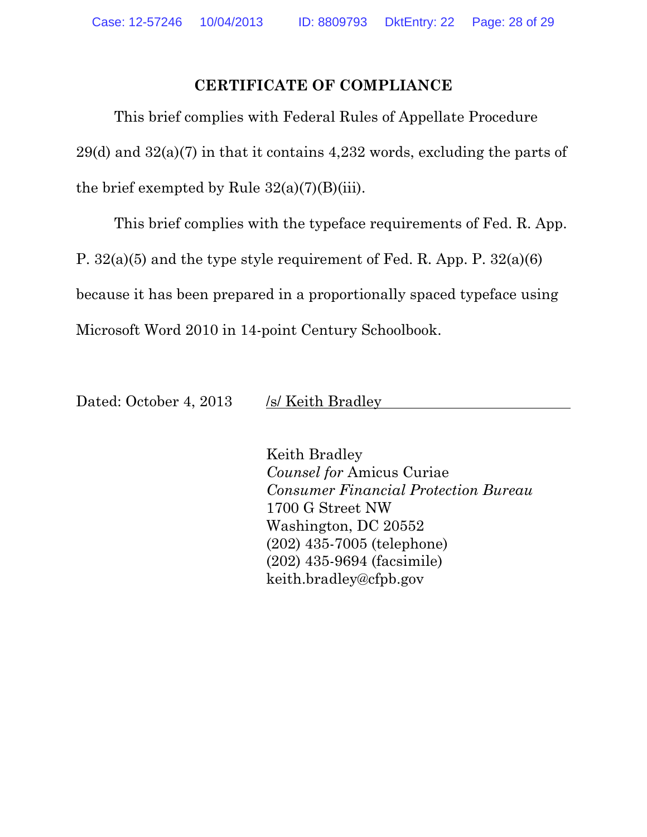#### **CERTIFICATE OF COMPLIANCE**

This brief complies with Federal Rules of Appellate Procedure 29(d) and 32(a)(7) in that it contains 4,232 words, excluding the parts of the brief exempted by Rule  $32(a)(7)(B)(iii)$ .

This brief complies with the typeface requirements of Fed. R. App.

P. 32(a)(5) and the type style requirement of Fed. R. App. P. 32(a)(6)

because it has been prepared in a proportionally spaced typeface using

Microsoft Word 2010 in 14-point Century Schoolbook.

Dated: October 4, 2013 /s/ Keith Bradley

Keith Bradley *Counsel for* Amicus Curiae *Consumer Financial Protection Bureau* 1700 G Street NW Washington, DC 20552 (202) 435-7005 (telephone) (202) 435-9694 (facsimile) keith.bradley@cfpb.gov